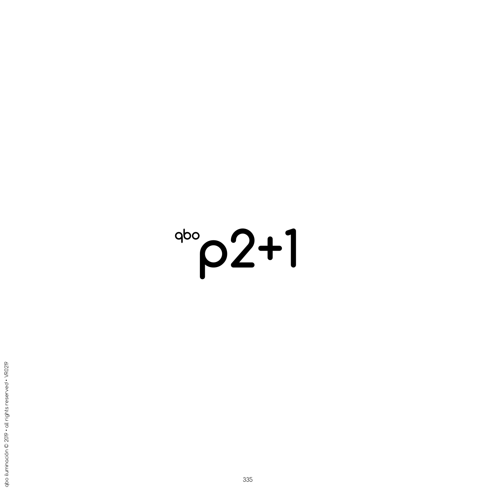## $^{900}$  $p2+1$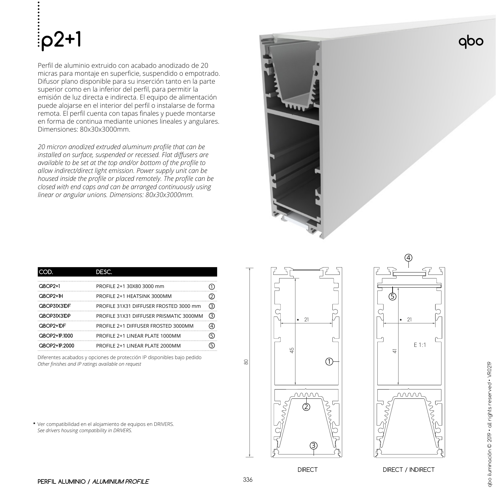## **p2+1**

Perfil de aluminio extruido con acabado anodizado de 20 micras para montaje en superficie, suspendido o empotrado. Difusor plano disponible para su inserción tanto en la parte superior como en la inferior del perfil, para permitir la emisión de luz directa e indirecta. El equipo de alimentación puede alojarse en el interior del perfil o instalarse de forma remota. El perfil cuenta con tapas finales y puede montarse en forma de continua mediante uniones lineales y angulares. Dimensiones: 80x30x3000mm.

*20 micron anodized extruded aluminum profile that can be installed on surface, suspended or recessed. Flat diffusers are available to be set at the top and/or bottom of the profile to allow indirect/direct light emission. Power supply unit can be housed inside the profile or placed remotely. The profile can be closed with end caps and can be arranged continuously using linear or angular unions. Dimensions: 80x30x3000mm.*

| $OBOP2+1$       | PROFILE 2+1 30X80 3000 mm               |  |
|-----------------|-----------------------------------------|--|
| OBOP2+1H        | PROFILE 2+1 HEATSINK 3000MM             |  |
| QBOP31X31DF<br> | PROFILE 31X31 DIFFUSER FROSTED 3000 mm  |  |
| QBOP31X31DP     | PROFILE 31X31 DIFFUSER PRISMATIC 3000MM |  |
| QBOP2+IDF       | PROFILE 2+1 DIFFUSER FROSTED 3000MM     |  |
| QBOP2+1P.1000   | PROFILE 2+1 LINEAR PLATE 1000MM         |  |
| QBOP2+1P2000    | PROFILE 2+1 LINFAR PLATE 2000MM         |  |

Diferentes acabados y opciones de protección IP disponibles bajo pedido *Other finishes and IP ratings available on request*

Ver compatibilidad en el alojamiento de equipos en DRIVERS. **\***  *See drivers housing compatibility in DRIVERS.*



4 5 21 E 1:1  $\frac{4}{\sqrt{2}}$ <u>mmn</u>

DIRECT DIRECT / INDIRECT

qbo

80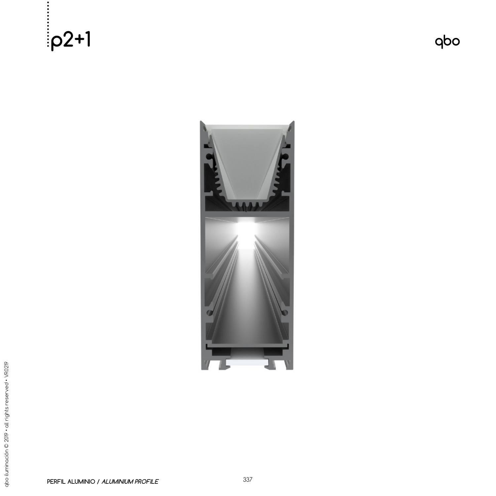**p2+1**

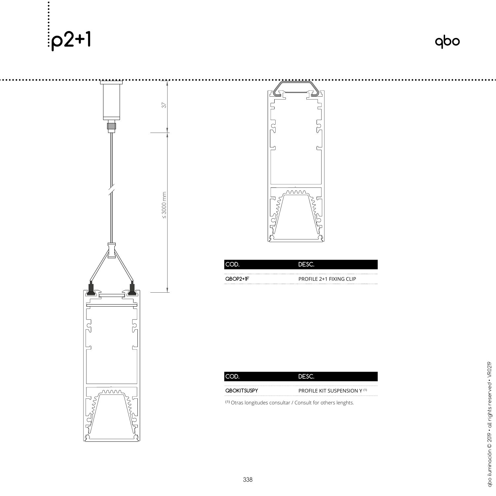



|            | DESC                    |
|------------|-------------------------|
|            |                         |
| $OBOP2+IF$ | PROFILE 2+1 FIXING CLIP |

| <b>OBOKITSUSPY</b> | <b>PROFILE KIT SUSPENSION Y (1)</b> |
|--------------------|-------------------------------------|

**( 1 )** Otras longitudes consultar / Consult for others lenghts.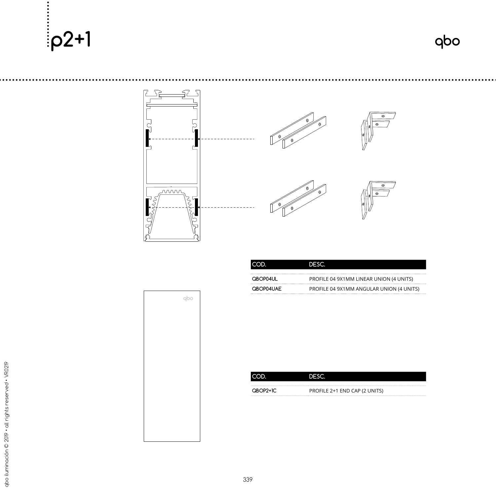**p2+1**



| ICOD.            | <b>DESC</b>                              |
|------------------|------------------------------------------|
| <b>OBOP04UL</b>  | PROFILE 04 9X1MM LINEAR UNION (4 UNITS)  |
| <b>OBOP04UAF</b> | PROFILE 04 9X1MM ANGULAR UNION (4 UNITS) |

| qbo |  |
|-----|--|
|     |  |
|     |  |
|     |  |
|     |  |
|     |  |
|     |  |
|     |  |
|     |  |
|     |  |
|     |  |
|     |  |
|     |  |

|          | אף בור                        |
|----------|-------------------------------|
| QBOP2+1C | PROFILE 2+1 END CAP (2 UNITS) |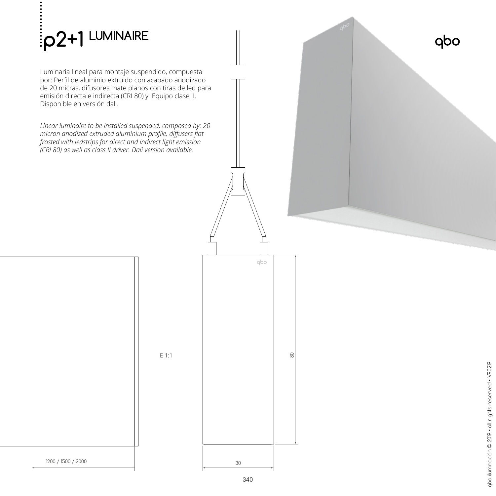

Luminaria lineal para montaje suspendido, compuesta por: Perfil de aluminio extruido con acabado anodizado de 20 micras, difusores mate planos con tiras de led para emisión directa e indirecta (CRI 80) y Equipo clase II. Disponible en versión dali.

*Linear luminaire to be installed suspended, composed by: 20 micron anodized extruded aluminium profile, diffusers flat frosted with ledstrips for direct and indirect light emission (CRI 80) as well as class II driver. Dali version available.*

E 1:1





80

qbo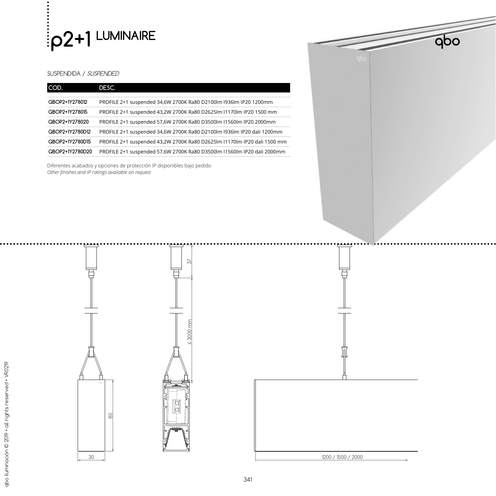

## SUSPENDIDA / SUSPENDED

| QBOP2+1Y278012  | PROFILE 2+1 suspended 34,6W 2700K Ra80 D2100lm I936lm IP20 1200mm        |
|-----------------|--------------------------------------------------------------------------|
| QBOP2+1Y278015  | PROFILE 2+1 suspended 43,2W 2700K Ra80 D2625lm I1170lm IP20 1500 mm      |
| QBOP2+1Y278020  | PROFILE 2+1 suspended 57,6W 2700K Ra80 D3500lm I1560lm IP20 2000mm       |
| QBOP2+1Y2780D12 | PROFILE 2+1 suspended 34,6W 2700K Ra80 D2100lm I936lm IP20 dali 1200mm   |
| OBOP2+1Y2780D15 | PROFILE 2+1 suspended 43,2W 2700K Ra80 D2625lm I1170lm IP20 dali 1500 mm |
| QBOP2+1Y2780D20 | PROFILE 2+1 suspended 57,6W 2700K Ra80 D3500lm I1560lm IP20 dali 2000mm  |

Diferentes acabados y opciones de protección IP disponibles bajo pedido *Other finishes and IP ratings available on request*